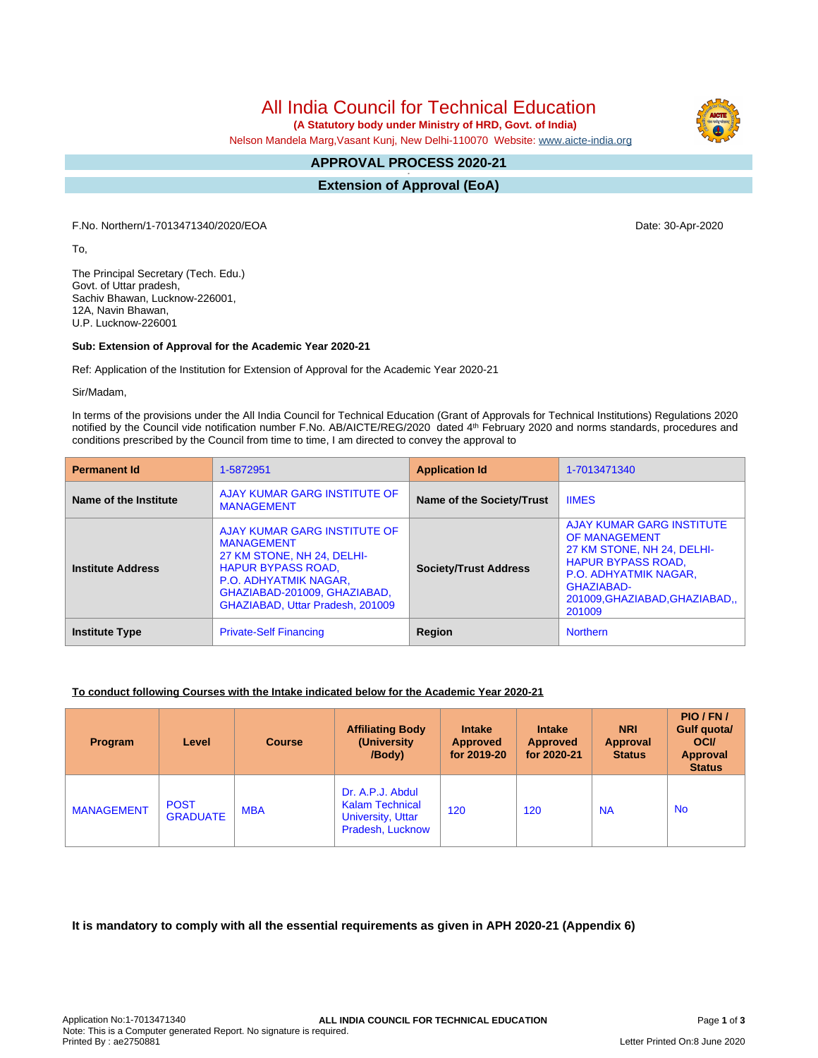# All India Council for Technical Education

 **(A Statutory body under Ministry of HRD, Govt. of India)**

Nelson Mandela Marg,Vasant Kunj, New Delhi-110070 Website: [www.aicte-india.org](http://www.aicte-india.org)

#### **APPROVAL PROCESS 2020-21 -**

**Extension of Approval (EoA)**

F.No. Northern/1-7013471340/2020/EOA Date: 30-Apr-2020

To,

The Principal Secretary (Tech. Edu.) Govt. of Uttar pradesh, Sachiv Bhawan, Lucknow-226001, 12A, Navin Bhawan, U.P. Lucknow-226001

### **Sub: Extension of Approval for the Academic Year 2020-21**

Ref: Application of the Institution for Extension of Approval for the Academic Year 2020-21

Sir/Madam,

In terms of the provisions under the All India Council for Technical Education (Grant of Approvals for Technical Institutions) Regulations 2020 notified by the Council vide notification number F.No. AB/AICTE/REG/2020 dated 4<sup>th</sup> February 2020 and norms standards, procedures and conditions prescribed by the Council from time to time, I am directed to convey the approval to

| <b>Permanent Id</b>      | 1-5872951                                                                                                                                                                                                 | <b>Application Id</b>        | 1-7013471340                                                                                                                                                                                                        |  |
|--------------------------|-----------------------------------------------------------------------------------------------------------------------------------------------------------------------------------------------------------|------------------------------|---------------------------------------------------------------------------------------------------------------------------------------------------------------------------------------------------------------------|--|
| Name of the Institute    | AJAY KUMAR GARG INSTITUTE OF<br><b>MANAGEMENT</b>                                                                                                                                                         | Name of the Society/Trust    | <b>IIMES</b>                                                                                                                                                                                                        |  |
| <b>Institute Address</b> | AJAY KUMAR GARG INSTITUTE OF<br><b>MANAGEMENT</b><br>27 KM STONE, NH 24, DELHI-<br><b>HAPUR BYPASS ROAD,</b><br>P.O. ADHYATMIK NAGAR,<br>GHAZIABAD-201009, GHAZIABAD,<br>GHAZIABAD, Uttar Pradesh, 201009 | <b>Society/Trust Address</b> | <b>AJAY KUMAR GARG INSTITUTE</b><br><b>OF MANAGEMENT</b><br>27 KM STONE, NH 24, DELHI-<br><b>HAPUR BYPASS ROAD,</b><br><b>P.O. ADHYATMIK NAGAR,</b><br><b>GHAZIABAD-</b><br>201009, GHAZIABAD, GHAZIABAD,<br>201009 |  |
| <b>Institute Type</b>    | <b>Private-Self Financing</b>                                                                                                                                                                             | Region                       | <b>Northern</b>                                                                                                                                                                                                     |  |

### **To conduct following Courses with the Intake indicated below for the Academic Year 2020-21**

| Program           | Level                          | <b>Course</b> | <b>Affiliating Body</b><br>(University)<br>/Body)                                          | <b>Intake</b><br><b>Approved</b><br>for 2019-20 | <b>Intake</b><br><b>Approved</b><br>for 2020-21 | <b>NRI</b><br>Approval<br><b>Status</b> | PIO/FN/<br>Gulf quota/<br><b>OCI</b><br><b>Approval</b><br><b>Status</b> |
|-------------------|--------------------------------|---------------|--------------------------------------------------------------------------------------------|-------------------------------------------------|-------------------------------------------------|-----------------------------------------|--------------------------------------------------------------------------|
| <b>MANAGEMENT</b> | <b>POST</b><br><b>GRADUATE</b> | <b>MBA</b>    | Dr. A.P.J. Abdul<br><b>Kalam Technical</b><br><b>University, Uttar</b><br>Pradesh, Lucknow | 120                                             | 120                                             | <b>NA</b>                               | <b>No</b>                                                                |

**It is mandatory to comply with all the essential requirements as given in APH 2020-21 (Appendix 6)**

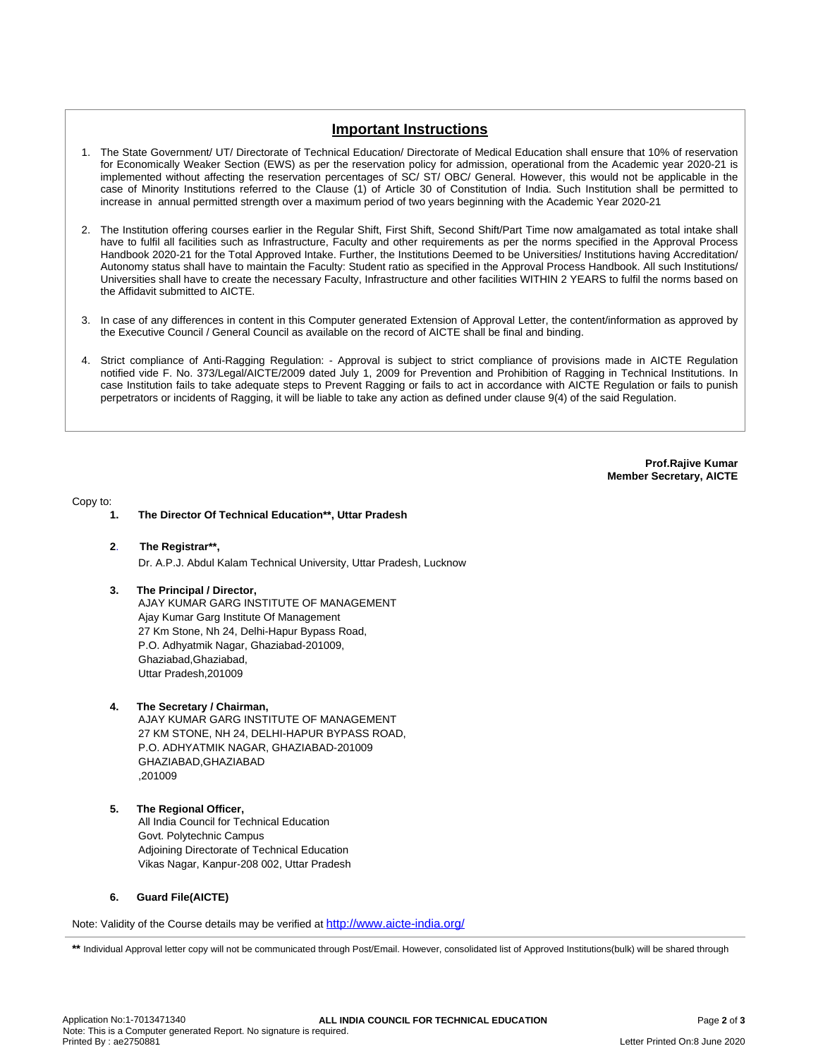## **Important Instructions**

- 1. The State Government/ UT/ Directorate of Technical Education/ Directorate of Medical Education shall ensure that 10% of reservation for Economically Weaker Section (EWS) as per the reservation policy for admission, operational from the Academic year 2020-21 is implemented without affecting the reservation percentages of SC/ ST/ OBC/ General. However, this would not be applicable in the case of Minority Institutions referred to the Clause (1) of Article 30 of Constitution of India. Such Institution shall be permitted to increase in annual permitted strength over a maximum period of two years beginning with the Academic Year 2020-21
- 2. The Institution offering courses earlier in the Regular Shift, First Shift, Second Shift/Part Time now amalgamated as total intake shall have to fulfil all facilities such as Infrastructure, Faculty and other requirements as per the norms specified in the Approval Process Handbook 2020-21 for the Total Approved Intake. Further, the Institutions Deemed to be Universities/ Institutions having Accreditation/ Autonomy status shall have to maintain the Faculty: Student ratio as specified in the Approval Process Handbook. All such Institutions/ Universities shall have to create the necessary Faculty, Infrastructure and other facilities WITHIN 2 YEARS to fulfil the norms based on the Affidavit submitted to AICTE.
- 3. In case of any differences in content in this Computer generated Extension of Approval Letter, the content/information as approved by the Executive Council / General Council as available on the record of AICTE shall be final and binding.
- 4. Strict compliance of Anti-Ragging Regulation: Approval is subject to strict compliance of provisions made in AICTE Regulation notified vide F. No. 373/Legal/AICTE/2009 dated July 1, 2009 for Prevention and Prohibition of Ragging in Technical Institutions. In case Institution fails to take adequate steps to Prevent Ragging or fails to act in accordance with AICTE Regulation or fails to punish perpetrators or incidents of Ragging, it will be liable to take any action as defined under clause 9(4) of the said Regulation.

**Prof.Rajive Kumar Member Secretary, AICTE**

Copy to:

- **1. The Director Of Technical Education\*\*, Uttar Pradesh**
- **2**. **The Registrar\*\*,**

Dr. A.P.J. Abdul Kalam Technical University, Uttar Pradesh, Lucknow

**3. The Principal / Director,**

AJAY KUMAR GARG INSTITUTE OF MANAGEMENT Ajay Kumar Garg Institute Of Management 27 Km Stone, Nh 24, Delhi-Hapur Bypass Road, P.O. Adhyatmik Nagar, Ghaziabad-201009, Ghaziabad,Ghaziabad, Uttar Pradesh,201009

### **4. The Secretary / Chairman,**

AJAY KUMAR GARG INSTITUTE OF MANAGEMENT 27 KM STONE, NH 24, DELHI-HAPUR BYPASS ROAD, P.O. ADHYATMIK NAGAR, GHAZIABAD-201009 GHAZIABAD,GHAZIABAD ,201009

### **5. The Regional Officer,**

All India Council for Technical Education Govt. Polytechnic Campus Adjoining Directorate of Technical Education Vikas Nagar, Kanpur-208 002, Uttar Pradesh

### **6. Guard File(AICTE)**

Note: Validity of the Course details may be verified at <http://www.aicte-india.org/>

**\*\*** Individual Approval letter copy will not be communicated through Post/Email. However, consolidated list of Approved Institutions(bulk) will be shared through